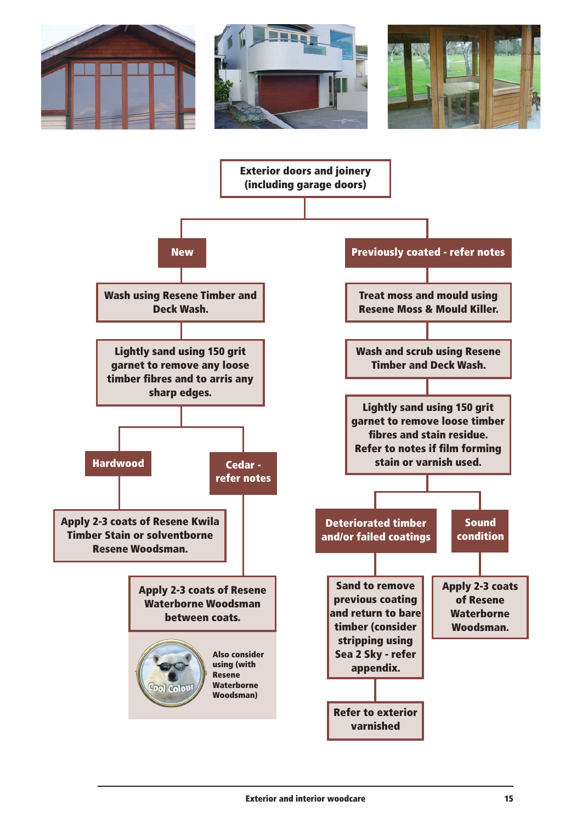